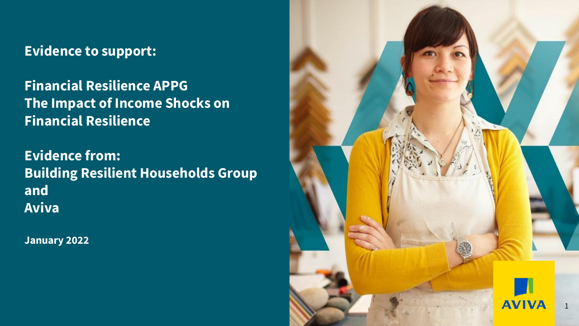### **Evidence to support:**

**Financial Resilience APPG The Impact of Income Shocks on Financial Resilience**

**Evidence from: Building Resilient Households Group and Aviva**

**January 2022**

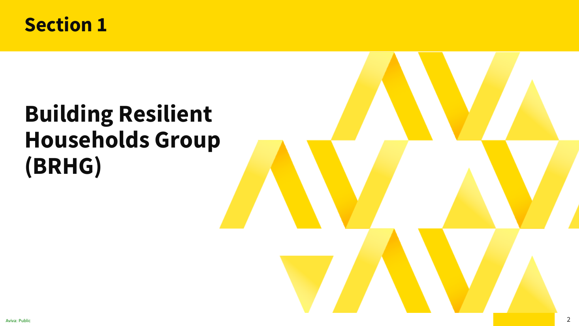

# **Building Resilient Households Group (BRHG)**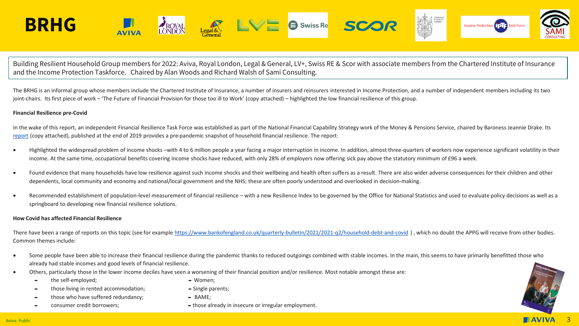

Building Resilient Household Group members for 2022: Aviva, Royal London, Legal & General, LV+, Swiss RE & Scor with associate members from the Chartered Institute of Insurance and the Income Protection Taskforce. Chaired by Alan Woods and Richard Walsh of Sami Consulting.

The BRHG is an informal group whose members include the Chartered Institute of Insurance, a number of insurers and reinsurers interested in Income Protection, and a number of independent members including its two joint-chairs. Its first piece of work – 'The Future of Financial Provision for those too ill to Work' (copy attached) – highlighted the low financial resilience of this group.

#### **Financial Resilience pre-Covid**

In the wake of this report, an independent Financial Resilience Task Force was established as part of the National Financial Capability Strategy work of the Money & Pensions Service, chaired by Baroness Jeannie Drake. Its [report](https://www.fincap.org.uk/en/articles/resilience-task-force) (copy attached), published at the end of 2019 provides a pre-pandemic snapshot of household financial resilience. The report:

- Highlighted the widespread problem of income shocks –with 4 to 6 million people a year facing a major interruption in income. In addition, almost three-quarters of workers now experience significant volatility in their income. At the same time, occupational benefits covering income shocks have reduced, with only 28% of employers now offering sick pay above the statutory minimum of £96 a week.
- Found evidence that many households have low resilience against such income shocks and their wellbeing and health often suffers as a result. There are also wider adverse consequences for their children and other dependents, local community and economy and national/local government and the NHS; these are often poorly understood and overlooked in decision-making.
- Recommended establishment of population-level measurement of financial resilience with a new Resilience Index to be governed by the Office for National Statistics and used to evaluate policy decisions as well as a springboard to developing new financial resilience solutions.

#### **How Covid has affected Financial Resilience**

There have been a range of reports on this topic (see for example<https://www.bankofengland.co.uk/quarterly-bulletin/2021/2021-q2/household-debt-and-covid> ), which no doubt the APPG will receive from other bodies. Common themes include:

- Some people have been able to increase their financial resilience during the pandemic thanks to reduced outgoings combined with stable incomes. In the main, this seems to have primarily benefitted those who already had stable incomes and good levels of financial resilience.
- Others, particularly those in the lower income deciles have seen a worsening of their financial position and/or resilience. Most notable amongst these are:
	- the self-employed; and the self-employed;
	- those living in rented accommodation; Single parents;
		- those who have suffered redundancy;  $\blacksquare$  BAME;
	-
- 
- 
- consumer credit borrowers;  $\blacksquare$  those already in insecure or irregular employment.

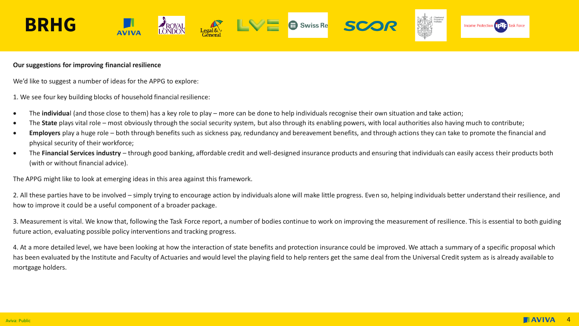

### **Our suggestions for improving financial resilience**

We'd like to suggest a number of ideas for the APPG to explore:

1. We see four key building blocks of household financial resilience:

- The **individua**l (and those close to them) has a key role to play more can be done to help individuals recognise their own situation and take action;
- The **State** plays vital role most obviously through the social security system, but also through its enabling powers, with local authorities also having much to contribute;
- **Employers** play a huge role both through benefits such as sickness pay, redundancy and bereavement benefits, and through actions they can take to promote the financial and physical security of their workforce;
- The **Financial Services industry**  through good banking, affordable credit and well-designed insurance products and ensuring that individuals can easily access their products both (with or without financial advice).

The APPG might like to look at emerging ideas in this area against this framework.

2. All these parties have to be involved – simply trying to encourage action by individuals alone will make little progress. Even so, helping individuals better understand their resilience, and how to improve it could be a useful component of a broader package.

3. Measurement is vital. We know that, following the Task Force report, a number of bodies continue to work on improving the measurement of resilience. This is essential to both guiding future action, evaluating possible policy interventions and tracking progress.

4. At a more detailed level, we have been looking at how the interaction of state benefits and protection insurance could be improved. We attach a summary of a specific proposal which has been evaluated by the Institute and Faculty of Actuaries and would level the playing field to help renters get the same deal from the Universal Credit system as is already available to mortgage holders.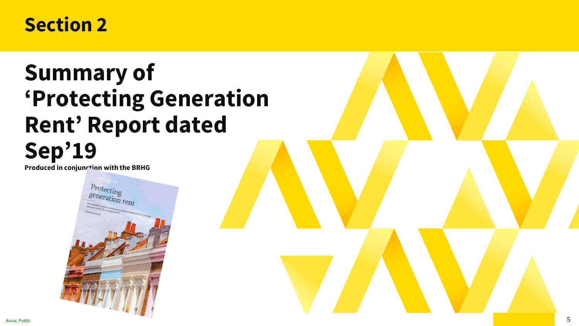### **Section 2**

## **Summary of 'Protecting Generation Rent' Report dated Sep'19**

**Produced in conjunction with the BRHG**

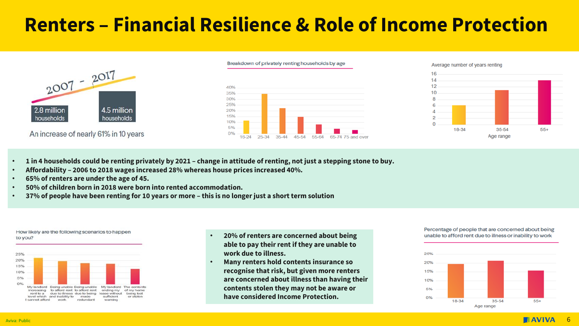## **Renters – Financial Resilience & Role of Income Protection**



An increase of nearly 61% in 10 years



Average number of years renting 16  $14$  $12$ 10



- **1 in 4 households could be renting privately by 2021 – change in attitude of renting, not just a stepping stone to buy.**
- **Affordability – 2006 to 2018 wages increased 28% whereas house prices increased 40%.**
- **65% of renters are under the age of 45.**
- **50% of children born in 2018 were born into rented accommodation.**
- **37% of people have been renting for 10 years or more – this is no longer just a short term solution**



How likely are the following scenarios to happen

- **20% of renters are concerned about being able to pay their rent if they are unable to work due to illness.**
- **Many renters hold contents insurance so recognise that risk, but given more renters are concerned about illness than having their contents stolen they may not be aware or have considered Income Protection.**

#### Percentage of people that are concerned about being unable to afford rent due to illness or inability to work